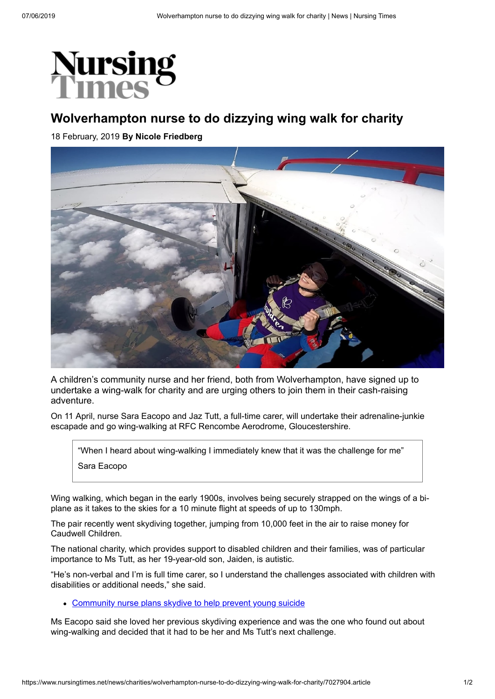

## **Wolverhampton nurse to do dizzying wing walk for charity**

18 February, 2019 **By Nicole Friedberg**



A children's community nurse and her friend, both from Wolverhampton, have signed up to undertake a wing-walk for charity and are urging others to join them in their cash-raising adventure.

On 11 April, nurse Sara Eacopo and Jaz Tutt, a full-time carer, will undertake their adrenaline-junkie escapade and go wing-walking at RFC Rencombe Aerodrome, Gloucestershire.

"When I heard about wing-walking I immediately knew that it was the challenge for me" Sara Eacopo

Wing walking, which began in the early 1900s, involves being securely strapped on the wings of a biplane as it takes to the skies for a 10 minute flight at speeds of up to 130mph.

The pair recently went skydiving together, jumping from 10,000 feet in the air to raise money for Caudwell Children.

The national charity, which provides support to disabled children and their families, was of particular importance to Ms Tutt, as her 19-year-old son, Jaiden, is autistic.

"He's non-verbal and I'm is full time carer, so I understand the challenges associated with children with disabilities or additional needs," she said.

• [Community nurse plans skydive to help prevent young suicide](https://www.nursingtimes.net/news/community/community-nurse-plans-skydive-to-help-prevent-young-suicide/7025644.article)

Ms Eacopo said she loved her previous skydiving experience and was the one who found out about wing-walking and decided that it had to be her and Ms Tutt's next challenge.